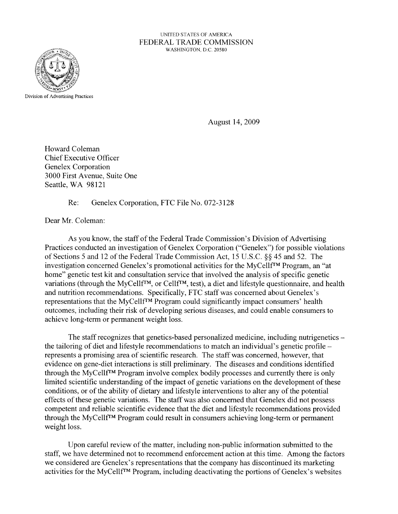## UNITED STATES OF AMERICA FEDERAL TRADE COMMISSION WASHINGTON, D.C. 20580



August 14,2009

Howard Coleman Chief Executive Officer Genelex Corporation 3000 First Avenue, Suite One Seattle, WA 98121

Re: Genelex Corporation, FTC File No. 072-3128

Dear Mr. Coleman:

As you know, the staff of the Federal Trade Commission's Division of Advertising Practices conducted an investigation of Genelex Corporation ("Genelex") for possible violations of Sections 5 and 12 of the Federal Trade Commission Act, 15 U.S.C. §§ 45 and 52. The investigation concerned Genelex's promotional activities for the MyCellfTM Program, an "at home" genetic test kit and consultation service that involved the analysis of specific genetic variations (through the MyCellf<sup>TM</sup>, or Cellf<sup>TM</sup>, test), a diet and lifestyle questionnaire, and health and nutrition recommendations. Specifically, FTC staff was concerned about Genelex's representations that the MyCellfTM Program could significantly impact consumers' health outcomes, including their risk of developing serious diseases, and could enable consumers to achieve long-term or permanent weight loss.

The staff recognizes that genetics-based personalized medicine, including nutrigenetics – the tailoring of diet and lifestyle recommendations to match an individual's genetic profile – represents a promising area of scientific research. The staff was concerned, however, that evidence on gene-diet interactions is still preliminary. The diseases and conditions identified through the MyCellfTM Program involve complex bodily processes and currently there is only limited scientific understanding of the impact of genetic variations on the development of these conditions, or of the ability of dietary and lifestyle interventions to alter any of the potential effects of these genetic variations. The staff was also concerned that Genelex did not possess competent and reliable scientific evidence that the diet and lifestyle recommendations provided through the MyCellfTM Program could result in consumers achieving long-term or permanent weight loss.

Upon careful review of the matter, including non-public information submitted to the staff, we have determined not to recommend enforcement action at this time. Among the factors we considered are Genelex's representations that the company has discontinued its marketing activities for the MyCellf<sup>TM</sup> Program, including deactivating the portions of Genelex's websites